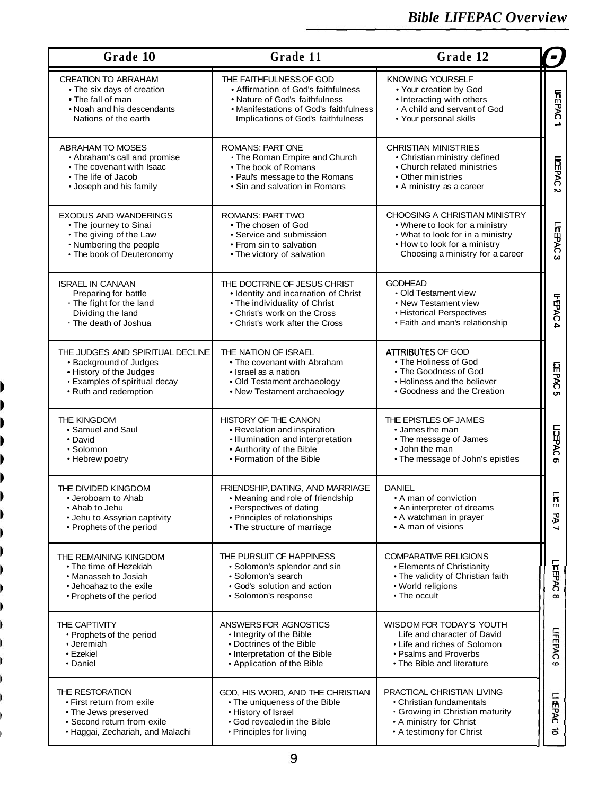| Grade 11<br>Grade 12<br>Grade 10                                                                                                                |                                                                                                                                                                                  |                                                                                                                                                                         |                    |  |  |
|-------------------------------------------------------------------------------------------------------------------------------------------------|----------------------------------------------------------------------------------------------------------------------------------------------------------------------------------|-------------------------------------------------------------------------------------------------------------------------------------------------------------------------|--------------------|--|--|
| <b>CREATION TO ABRAHAM</b><br>• The six days of creation<br>• The fall of man<br>• Noah and his descendants<br>Nations of the earth             | THE FAITHFULNESS OF GOD<br>• Affirmation of God's faithfulness<br>• Nature of God's faithfulness<br>• Manifestations of God's faithfulness<br>Implications of God's faithfulness | <b>KNOWING YOURSELF</b><br>• Your creation by God<br>• Interacting with others<br>• A child and servant of God<br>• Your personal skills                                | <b>UEEPAC</b><br>∸ |  |  |
| ABRAHAM TO MOSES<br>• Abraham's call and promise<br>• The covenant with Isaac<br>• The life of Jacob<br>• Joseph and his family                 | <b>ROMANS: PART ONE</b><br>• The Roman Empire and Church<br>• The book of Romans<br>• Paul's message to the Romans<br>• Sin and salvation in Romans                              | <b>CHRISTIAN MINISTRIES</b><br>• Christian ministry defined<br>• Church related ministries<br>• Other ministries<br>• A ministry as a career                            | <b>LIEPAC</b><br>N |  |  |
| <b>EXODUS AND WANDERINGS</b><br>• The journey to Sinai<br>• The giving of the Law<br>• Numbering the people<br>• The book of Deuteronomy        | <b>ROMANS: PART TWO</b><br>• The chosen of God<br>• Service and submission<br>• From sin to salvation<br>• The victory of salvation                                              | CHOOSING A CHRISTIAN MINISTRY<br>• Where to look for a ministry<br>• What to look for in a ministry<br>• How to look for a ministry<br>Choosing a ministry for a career | LIstEPAC<br>ω      |  |  |
| <b>ISRAEL IN CANAAN</b><br>Preparing for battle<br>• The fight for the land<br>Dividing the land<br>• The death of Joshua                       | THE DOCTRINE OF JESUS CHRIST<br>• Identity and incarnation of Christ<br>• The individuality of Christ<br>• Christ's work on the Cross<br>• Christ's work after the Cross         | <b>GODHEAD</b><br>• Old Testament view<br>• New Testament view<br>• Historical Perspectives<br>• Faith and man's relationship                                           | <b>HEPAC</b><br>÷  |  |  |
| THE JUDGES AND SPIRITUAL DECLINE<br>• Background of Judges<br>. History of the Judges<br>• Examples of spiritual decay<br>• Ruth and redemption | THE NATION OF ISRAEL<br>• The covenant with Abraham<br>• Israel as a nation<br>• Old Testament archaeology<br>• New Testament archaeology                                        | ATTRIBUTES OF GOD<br>• The Holiness of God<br>• The Goodness of God<br>• Holiness and the believer<br>• Goodness and the Creation                                       | LOSPAC<br>CT       |  |  |
| THE KINGDOM<br>• Samuel and Saul<br>• David<br>• Solomon<br>• Hebrew poetry                                                                     | HISTORY OF THE CANON<br>• Revelation and inspiration<br>• Illumination and interpretation<br>• Authority of the Bible<br>• Formation of the Bible                                | THE EPISTLES OF JAMES<br>• James the man<br>• The message of James<br>• John the man<br>• The message of John's epistles                                                | LIEEPAC<br>o       |  |  |
| THE DIVIDED KINGDOM<br>• Jeroboam to Ahab<br>• Ahab to Jehu<br>• Jehu to Assyrian captivity<br>• Prophets of the period                         | FRIENDSHIP, DATING, AND MARRIAGE<br>• Meaning and role of friendship<br>• Perspectives of dating<br>• Principles of relationships<br>• The structure of marriage                 | <b>DANIEL</b><br>• A man of conviction<br>• An interpreter of dreams<br>• A watchman in prayer<br>• A man of visions                                                    |                    |  |  |
| THE REMAINING KINGDOM<br>• The time of Hezekiah<br>• Manasseh to Josiah<br>• Jehoahaz to the exile<br>• Prophets of the period                  | THE PURSUIT OF HAPPINESS<br>• Solomon's splendor and sin<br>• Solomon's search<br>· God's solution and action<br>· Solomon's response                                            | <b>COMPARATIVE RELIGIONS</b><br>• Elements of Christianity<br>• The validity of Christian faith<br>• World religions<br>• The occult                                    |                    |  |  |
| THE CAPTIVITY<br>• Prophets of the period<br>• Jeremiah<br>$\cdot$ Ezekiel<br>• Daniel                                                          | ANSWERS FOR AGNOSTICS<br>• Integrity of the Bible<br>• Doctrines of the Bible<br>• Interpretation of the Bible<br>• Application of the Bible                                     | WISDOM FOR TODAY'S YOUTH<br>Life and character of David<br>• Life and riches of Solomon<br>• Psalms and Proverbs<br>• The Bible and literature                          |                    |  |  |
| THE RESTORATION<br>• First return from exile<br>• The Jews preserved<br>• Second return from exile<br>• Haggai, Zechariah, and Malachi          | GOD, HIS WORD, AND THE CHRISTIAN<br>• The uniqueness of the Bible<br>• History of Israel<br>• God revealed in the Bible<br>• Principles for living                               | PRACTICAL CHRISTIAN LIVING<br>• Christian fundamentals<br>• Growing in Christian maturity<br>• A ministry for Christ<br>• A testimony for Christ                        |                    |  |  |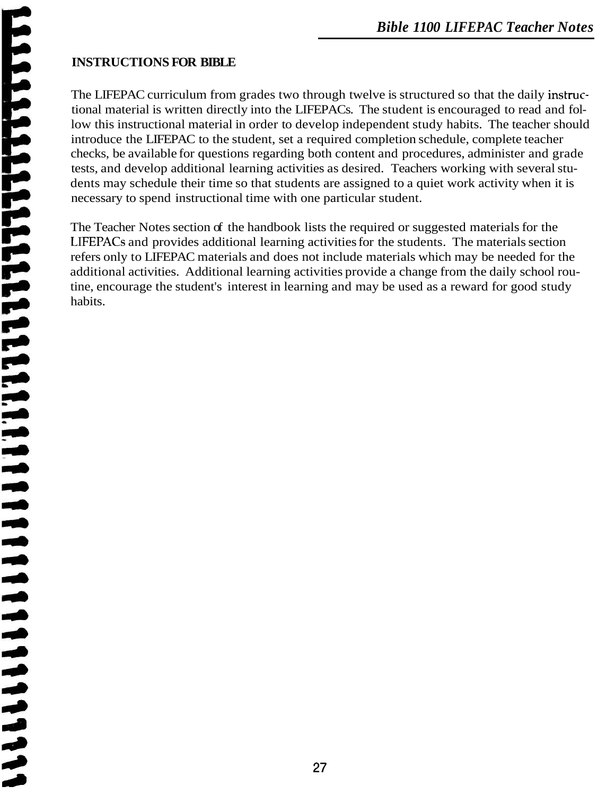ā 人名英格兰人姓氏 一直的成就的

# *Bible 1100 LIFEPAC Teacher Notes*

### **INSTRUCTIONS FOR BIBLE**

The LIFEPAC curriculum from grades two through twelve is structured so that the daily instructional material is written directly into the LIFEPACs. The student is encouraged to read and follow this instructional material in order to develop independent study habits. The teacher should introduce the LIFEPAC to the student, set a required completion schedule, complete teacher checks, be available for questions regarding both content and procedures, administer and grade tests, and develop additional learning activities as desired. Teachers working with several students may schedule their time so that students are assigned to a quiet work activity when it is necessary to spend instructional time with one particular student.

The Teacher Notes section of the handbook lists the required or suggested materials for the LIFEPACs and provides additional learning activities for the students. The materials section refers only to LIFEPAC materials and does not include materials which may be needed for the additional activities. Additional learning activities provide a change from the daily school routine, encourage the student's interest in learning and may be used as a reward for good study habits.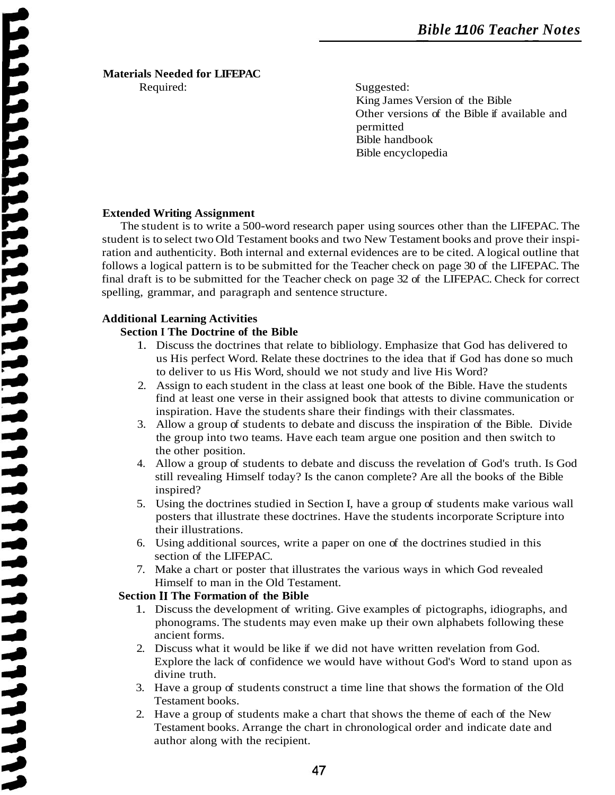## **Materials Needed for LIFEPAC**

Required: Suggested: King James Version of the Bible Other versions of the Bible if available and permitted Bible handbook Bible encyclopedia

#### **Extended Writing Assignment**

The student is to write a 500-word research paper using sources other than the LIFEPAC. The student is to select two Old Testament books and two New Testament books and prove their inspiration and authenticity. Both internal and external evidences are to be cited. A logical outline that follows a logical pattern is to be submitted for the Teacher check on page 30 of the LIFEPAC. The final draft is to be submitted for the Teacher check on page 32 of the LIFEPAC. Check for correct spelling, grammar, and paragraph and sentence structure.

#### **Additional Learning Activities**

#### **Section I The Doctrine of the Bible**

- 1. Discuss the doctrines that relate to bibliology. Emphasize that God has delivered to us His perfect Word. Relate these doctrines to the idea that if God has done so much to deliver to us His Word, should we not study and live His Word?
- 2. Assign to each student in the class at least one book of the Bible. Have the students find at least one verse in their assigned book that attests to divine communication or inspiration. Have the students share their findings with their classmates.
- 3. Allow a group of students to debate and discuss the inspiration of the Bible. Divide the group into two teams. Have each team argue one position and then switch to the other position.
- 4. Allow a group of students to debate and discuss the revelation of God's truth. Is God still revealing Himself today? Is the canon complete? Are all the books of the Bible inspired?
- 5. Using the doctrines studied in Section I, have a group of students make various wall posters that illustrate these doctrines. Have the students incorporate Scripture into their illustrations.
- 6. Using additional sources, write a paper on one of the doctrines studied in this section of the LIFEPAC.
- 7. Make a chart or poster that illustrates the various ways in which God revealed Himself to man in the Old Testament.

#### **Section I1 The Formation of the Bible**

- 1. Discuss the development of writing. Give examples of pictographs, idiographs, and phonograms. The students may even make up their own alphabets following these ancient forms.
- 2. Discuss what it would be like if we did not have written revelation from God. Explore the lack of confidence we would have without God's Word to stand upon as divine truth.
- 3. Have a group of students construct a time line that shows the formation of the Old Testament books.
- 2. Have a group of students make a chart that shows the theme of each of the New Testament books. Arrange the chart in chronological order and indicate date and author along with the recipient.